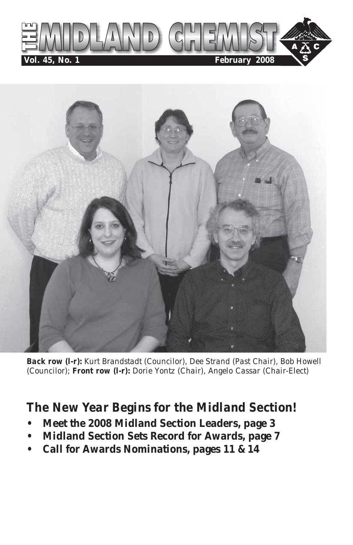



*Back row (l-r): Kurt Brandstadt (Councilor), Dee Strand (Past Chair), Bob Howell (Councilor); Front row (l-r): Dorie Yontz (Chair), Angelo Cassar (Chair-Elect)*

### *The New Year Begins for the Midland Section!*

- **Meet the 2008 Midland Section Leaders, page 3**
- **Midland Section Sets Record for Awards, page 7**
- **Call for Awards Nominations, pages 11 & 14**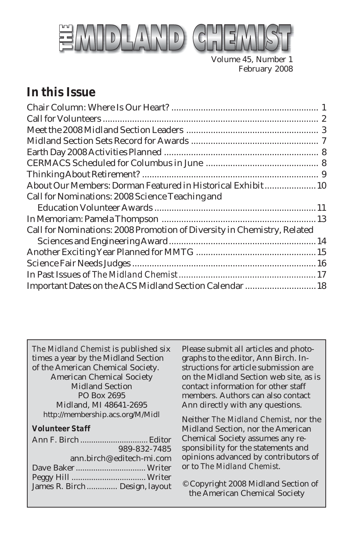

Volume 45, Number 1 February 2008

### *In this Issue*

| About Our Members: Dorman Featured in Historical Exhibit 10             |  |
|-------------------------------------------------------------------------|--|
| Call for Nominations: 2008 Science Teaching and                         |  |
|                                                                         |  |
|                                                                         |  |
| Call for Nominations: 2008 Promotion of Diversity in Chemistry, Related |  |
|                                                                         |  |
|                                                                         |  |
|                                                                         |  |
|                                                                         |  |
| Important Dates on the ACS Midland Section Calendar  18                 |  |
|                                                                         |  |

*The Midland Chemist* is published six times a year by the Midland Section of the American Chemical Society. American Chemical Society Midland Section PO Box 2695 Midland, MI 48641-2695 http://membership.acs.org/M/Midl

#### *Volunteer Staff*

|                               | 989-832-7485             |
|-------------------------------|--------------------------|
|                               | ann.birch@editech-mi.com |
|                               |                          |
|                               |                          |
| James R. Birch Design, layout |                          |

Please submit all articles and photographs to the editor, Ann Birch. Instructions for article submission are on the Midland Section web site, as is contact information for other staff members. Authors can also contact Ann directly with any questions.

Neither *The Midland Chemist*, nor the Midland Section, nor the American Chemical Society assumes any responsibility for the statements and opinions advanced by contributors of or to *The Midland Chemist*.

© Copyright 2008 Midland Section of the American Chemical Society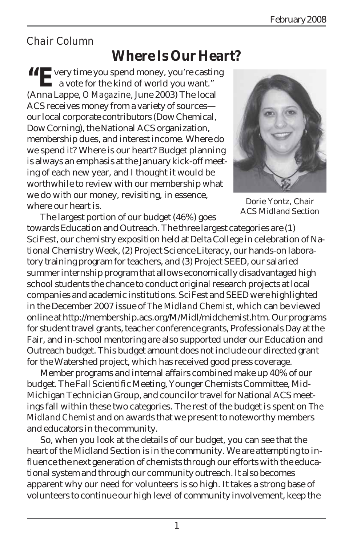### *Chair Column*

### **Where Is Our Heart?**

**"EVERTH** volume you spend money, you're casting a vote for the kind of world you want." (Anna Lappe, *O Magazine*, June 2003) The local ACS receives money from a variety of sources our local corporate contributors (Dow Chemical, Dow Corning), the National ACS organization, membership dues, and interest income. Where do we spend it? Where is our heart? Budget planning is always an emphasis at the January kick-off meeting of each new year, and I thought it would be worthwhile to review with our membership what we do with our money, revisiting, in essence, where our heart is.



Dorie Yontz, Chair ACS Midland Section

The largest portion of our budget (46%) goes towards Education and Outreach. The three largest categories are (1) SciFest, our chemistry exposition held at Delta College in celebration of National Chemistry Week, (2) Project Science Literacy, our hands-on laboratory training program for teachers, and (3) Project SEED, our salaried summer internship program that allows economically disadvantaged high school students the chance to conduct original research projects at local companies and academic institutions. SciFest and SEED were highlighted in the December 2007 issue of *The Midland Chemist*, which can be viewed online at http://membership.acs.org/M/Midl/midchemist.htm. Our programs for student travel grants, teacher conference grants, Professionals Day at the Fair, and in-school mentoring are also supported under our Education and Outreach budget. This budget amount does not include our directed grant for the Watershed project, which has received good press coverage.

Member programs and internal affairs combined make up 40% of our budget. The Fall Scientific Meeting, Younger Chemists Committee, Mid-Michigan Technician Group, and councilor travel for National ACS meetings fall within these two categories. The rest of the budget is spent on *The Midland Chemist* and on awards that we present to noteworthy members and educators in the community.

So, when you look at the details of our budget, you can see that the heart of the Midland Section is in the community. We are attempting to influence the next generation of chemists through our efforts with the educational system and through our community outreach. It also becomes apparent why our need for volunteers is so high. It takes a strong base of volunteers to continue our high level of community involvement, keep the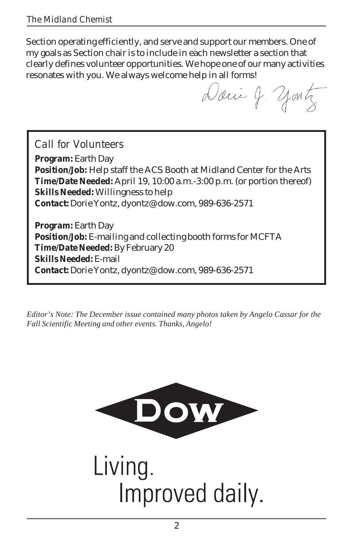Section operating efficiently, and serve and support our members. One of my goals as Section chair is to include in each newsletter a section that clearly defines volunteer opportunities. We hope one of our many activities resonates with you. We always welcome help in all forms!

Danie J. yontz

*Call for Volunteers*

**Program:** Earth Day **Position/Job:** Help staff the ACS Booth at Midland Center for the Arts **Time/Date Needed:** April 19, 10:00 a.m.-3:00 p.m. (or portion thereof) **Skills Needed:** Willingness to help **Contact:** Dorie Yontz, dyontz@dow.com, 989-636-2571

**Program:** Earth Day **Position/Job:** E-mailing and collecting booth forms for MCFTA **Time/Date Needed:** By February 20 **Skills Needed:** E-mail **Contact:** Dorie Yontz, dyontz@dow.com, 989-636-2571

*Editor's Note: The December issue contained many photos taken by Angelo Cassar for the Fall Scientific Meeting and other events. Thanks, Angelo!*



Living. Improved daily.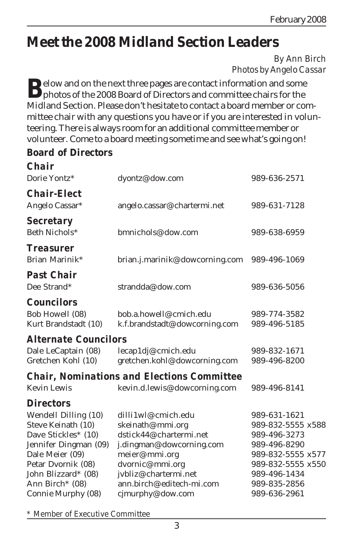# **Meet the 2008 Midland Section Leaders**

*By Ann Birch Photos by Angelo Cassar*

**D**elow and on the next three pages are contact information and some **D** photos of the 2008 Board of Directors and committee chairs for the Midland Section. Please don't hesitate to contact a board member or committee chair with any questions you have or if you are interested in volunteering. There is always room for an additional committee member or volunteer. Come to a board meeting sometime and see what's going on!

#### **Board of Directors**

| <b>Chair</b><br>Dorie Yontz*                                 | dyontz@dow.com                                          | 989-636-2571                 |  |
|--------------------------------------------------------------|---------------------------------------------------------|------------------------------|--|
| <b>Chair-Elect</b><br>Angelo Cassar*                         | angelo.cassar@chartermi.net                             | 989-631-7128                 |  |
| <b>Secretary</b><br>Beth Nichols*                            | bmnichols@dow.com                                       | 989-638-6959                 |  |
| <b>Treasurer</b><br>Brian Marinik*                           | brian.j.marinik@dowcorning.com                          | 989-496-1069                 |  |
| <b>Past Chair</b><br>Dee Strand*                             | strandda@dow.com                                        | 989-636-5056                 |  |
| <b>Councilors</b><br>Bob Howell (08)<br>Kurt Brandstadt (10) | bob.a.howell@cmich.edu<br>k.f.brandstadt@dowcorning.com | 989-774-3582<br>989-496-5185 |  |
| <i><b>Alternate Councilors</b></i>                           |                                                         |                              |  |
| Dale LeCaptain (08)<br>Gretchen Kohl (10)                    | lecap1dj@cmich.edu<br>gretchen.kohl@dowcorning.com      | 989-832-1671<br>989-496-8200 |  |
|                                                              | <b>Chair, Nominations and Elections Committee</b>       |                              |  |
| <b>Kevin Lewis</b>                                           | kevin.d.lewis@dowcorning.com                            | 989-496-8141                 |  |
| <b>Directors</b>                                             |                                                         |                              |  |
| Wendell Dilling (10)                                         | dilli1wl@cmich.edu                                      | 989-631-1621                 |  |
| Steve Keinath (10)                                           | skeinath@mmi.org                                        | 989-832-5555 x588            |  |
| Dave Stickles* (10)                                          | dstick44@chartermi.net                                  | 989-496-3273                 |  |
| Jennifer Dingman (09)                                        | j.dingman@dowcorning.com                                | 989-496-8290                 |  |
| Dale Meier (09)                                              | meier@mmi.org                                           | 989-832-5555 x577            |  |
| Petar Dvornik (08)                                           | dvornic@mmi.org                                         | 989-832-5555 x550            |  |
| John Blizzard* (08)                                          | jvbliz@chartermi.net                                    | 989-496-1434                 |  |
| Ann Birch <sup>*</sup> (08)                                  | ann.birch@editech-mi.com                                | 989-835-2856                 |  |
| Connie Murphy (08)                                           | cjmurphy@dow.com                                        | 989-636-2961                 |  |

*\* Member of Executive Committee*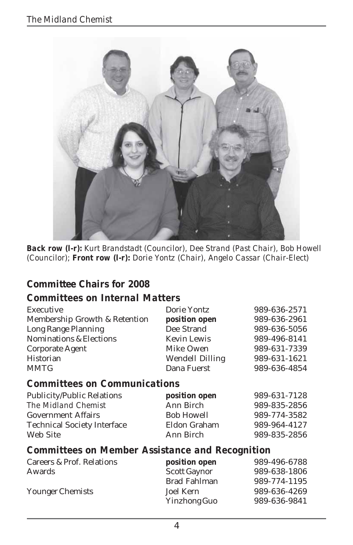

*Back row (l-r): Kurt Brandstadt (Councilor), Dee Strand (Past Chair), Bob Howell (Councilor); Front row (l-r): Dorie Yontz (Chair), Angelo Cassar (Chair-Elect)*

#### **Committee Chairs for 2008**

#### *Committees on Internal Matters*

| Dorie Yontz            | 989-636-2571 |
|------------------------|--------------|
| position open          | 989-636-2961 |
| Dee Strand             | 989-636-5056 |
| <b>Kevin Lewis</b>     | 989-496-8141 |
| Mike Owen              | 989-631-7339 |
| <b>Wendell Dilling</b> | 989-631-1621 |
| Dana Fuerst            | 989-636-4854 |
|                        |              |

#### *Committees on Communications*

| position open     | 989-631-7128 |
|-------------------|--------------|
| Ann Birch         | 989-835-2856 |
| <b>Bob Howell</b> | 989-774-3582 |
| Eldon Graham      | 989-964-4127 |
| Ann Birch         | 989-835-2856 |
|                   |              |

#### *Committees on Member Assistance and Recognition*

| Careers & Prof. Relations | position open       | 989-496-6788 |
|---------------------------|---------------------|--------------|
| Awards                    | <b>Scott Gaynor</b> | 989-638-1806 |
|                           | Brad Fahlman        | 989-774-1195 |
| Younger Chemists          | Joel Kern           | 989-636-4269 |
|                           | Yinzhong Guo        | 989-636-9841 |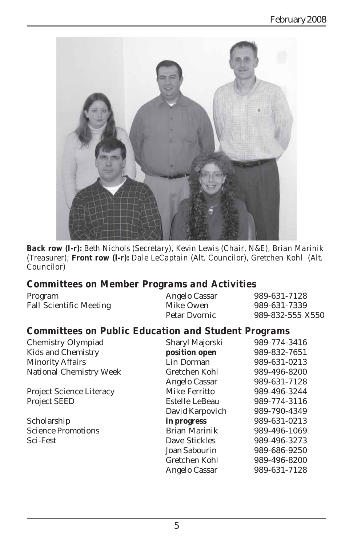

*Back row (l-r): Beth Nichols (Secretary), Kevin Lewis (Chair, N&E), Brian Marinik (Treasurer); Front row (l-r): Dale LeCaptain (Alt. Councilor), Gretchen Kohl (Alt. Councilor)*

#### *Committees on Member Programs and Activities*

| Program                        | Angelo Cassar | 989-631-7128     |
|--------------------------------|---------------|------------------|
| <b>Fall Scientific Meeting</b> | Mike Owen     | 989-631-7339     |
|                                | Petar Dyornic | 989-832-555 X550 |

#### *Committees on Public Education and Student Programs*

| Chemistry Olympiad              | Sharyl Majorski | 989-774-3416 |
|---------------------------------|-----------------|--------------|
| Kids and Chemistry              | position open   | 989-832-7651 |
| <b>Minority Affairs</b>         | Lin Dorman      | 989-631-0213 |
| National Chemistry Week         | Gretchen Kohl   | 989-496-8200 |
|                                 | Angelo Cassar   | 989-631-7128 |
| <b>Project Science Literacy</b> | Mike Ferritto   | 989-496-3244 |
| <b>Project SEED</b>             | Estelle LeBeau  | 989-774-3116 |
|                                 | David Karpovich | 989-790-4349 |
| Scholarship                     | in progress     | 989-631-0213 |
| <b>Science Promotions</b>       | Brian Marinik   | 989-496-1069 |
| Sci-Fest                        | Dave Stickles   | 989-496-3273 |
|                                 | Joan Sabourin   | 989-686-9250 |
|                                 | Gretchen Kohl   | 989-496-8200 |
|                                 | Angelo Cassar   | 989-631-7128 |
|                                 |                 |              |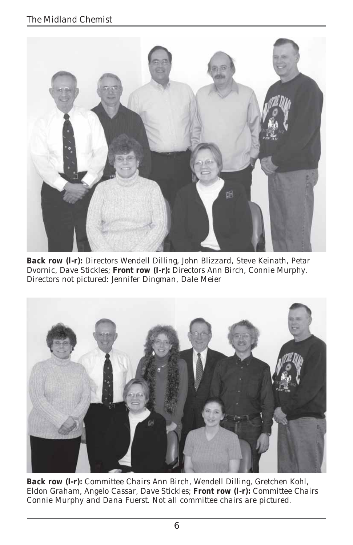

*Back row (l-r): Directors Wendell Dilling, John Blizzard, Steve Keinath, Petar Dvornic, Dave Stickles; Front row (l-r): Directors Ann Birch, Connie Murphy. Directors not pictured: Jennifer Dingman, Dale Meier*



*Back row (l-r): Committee Chairs Ann Birch, Wendell Dilling, Gretchen Kohl, Eldon Graham, Angelo Cassar, Dave Stickles; Front row (l-r): Committee Chairs Connie Murphy and Dana Fuerst. Not all committee chairs are pictured.*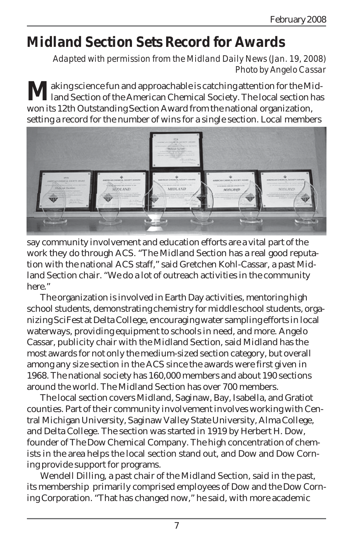# **Midland Section Sets Record for Awards**

*Adapted with permission from the Midland Daily News (Jan. 19, 2008) Photo by Angelo Cassar*

**M**aking science fun and approachable is catching attention for the Mid-<br>land Section of the American Chemical Society. The local section has won its 12th Outstanding Section Award from the national organization, setting a record for the number of wins for a single section. Local members



say community involvement and education efforts are a vital part of the work they do through ACS. "The Midland Section has a real good reputation with the national ACS staff," said Gretchen Kohl-Cassar, a past Midland Section chair. "We do a lot of outreach activities in the community here."

The organization is involved in Earth Day activities, mentoring high school students, demonstrating chemistry for middle school students, organizing SciFest at Delta College, encouraging water sampling efforts in local waterways, providing equipment to schools in need, and more. Angelo Cassar, publicity chair with the Midland Section, said Midland has the most awards for not only the medium-sized section category, but overall among any size section in the ACS since the awards were first given in 1968. The national society has 160,000 members and about 190 sections around the world. The Midland Section has over 700 members.

The local section covers Midland, Saginaw, Bay, Isabella, and Gratiot counties. Part of their community involvement involves working with Central Michigan University, Saginaw Valley State University, Alma College, and Delta College. The section was started in 1919 by Herbert H. Dow, founder of The Dow Chemical Company. The high concentration of chemists in the area helps the local section stand out, and Dow and Dow Corning provide support for programs.

Wendell Dilling, a past chair of the Midland Section, said in the past, its membership primarily comprised employees of Dow and the Dow Corning Corporation. "That has changed now," he said, with more academic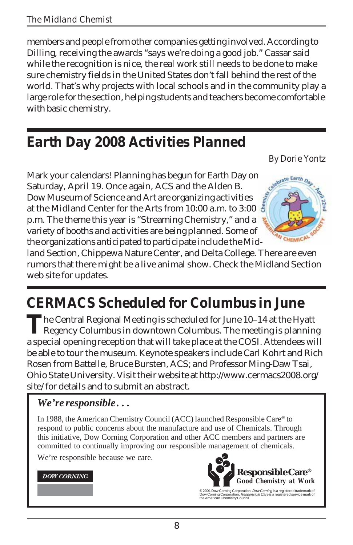members and people from other companies getting involved. According to Dilling, receiving the awards "says we're doing a good job." Cassar said while the recognition is nice, the real work still needs to be done to make sure chemistry fields in the United States don't fall behind the rest of the world. That's why projects with local schools and in the community play a large role for the section, helping students and teachers become comfortable with basic chemistry.

# **Earth Day 2008 Activities Planned**

*By Dorie Yontz*

Mark your calendars! Planning has begun for Earth Day on Saturday, April 19. Once again, ACS and the Alden B. Dow Museum of Science and Art are organizing activities at the Midland Center for the Arts from 10:00 a.m. to 3:00 p.m. The theme this year is "Streaming Chemistry," and a variety of booths and activities are being planned. Some of the organizations anticipated to participate include the Mid-



land Section, Chippewa Nature Center, and Delta College. There are even rumors that there might be a live animal show. Check the Midland Section web site for updates.

# **CERMACS Scheduled for Columbus in June**

**T**he Central Regional Meeting is scheduled for June 10–14 at the Hyatt Regency Columbus in downtown Columbus. The meeting is planning a special opening reception that will take place at the COSI. Attendees will be able to tour the museum. Keynote speakers include Carl Kohrt and Rich Rosen from Battelle, Bruce Bursten, ACS; and Professor Ming-Daw Tsai, Ohio State University. Visit their website at http://www.cermacs2008.org/ site/ for details and to submit an abstract.

### *We're responsible . . .*

In 1988, the American Chemistry Council (ACC) launched Responsible Care® to respond to public concerns about the manufacture and use of Chemicals. Through this initiative, Dow Corning Corporation and other ACC members and partners are committed to continually improving our responsible management of chemicals.

We're responsible because we care.

#### **DOW CORNING**



© 2001 Dow Corning Corporation. *Dow Corning* is a registered trademark of<br>Dow Corning Corporation. *Responsible Care* is a registered service mark of<br>the American Chemistry Council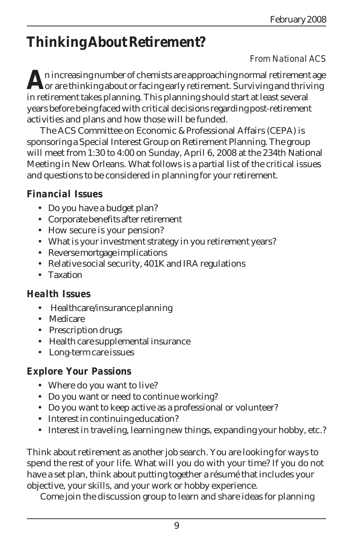# **Thinking About Retirement?**

#### *From National ACS*

**A**n increasing number of chemists are approaching normal retirement age<br>for are thinking about or facing early retirement. Surviving and thriving in retirement takes planning. This planning should start at least several years before being faced with critical decisions regarding post-retirement activities and plans and how those will be funded.

The ACS Committee on Economic & Professional Affairs (CEPA) is sponsoring a Special Interest Group on Retirement Planning. The group will meet from 1:30 to 4:00 on Sunday, April 6, 2008 at the 234th National Meeting in New Orleans. What follows is a partial list of the critical issues and questions to be considered in planning for your retirement.

#### *Financial Issues*

- Do you have a budget plan?
- Corporate benefits after retirement
- How secure is your pension?
- What is your investment strategy in you retirement years?
- Reverse mortgage implications
- Relative social security, 401K and IRA regulations
- Taxation

#### *Health Issues*

- Healthcare/insurance planning
- Medicare
- Prescription drugs
- Health care supplemental insurance
- Long-term care issues

### *Explore Your Passions*

- Where do you want to live?
- Do you want or need to continue working?
- Do you want to keep active as a professional or volunteer?
- Interest in continuing education?
- Interest in traveling, learning new things, expanding your hobby, etc.?

Think about retirement as another job search. You are looking for ways to spend the rest of your life. What will you do with your time? If you do not have a set plan, think about putting together a résumé that includes your objective, your skills, and your work or hobby experience.

Come join the discussion group to learn and share ideas for planning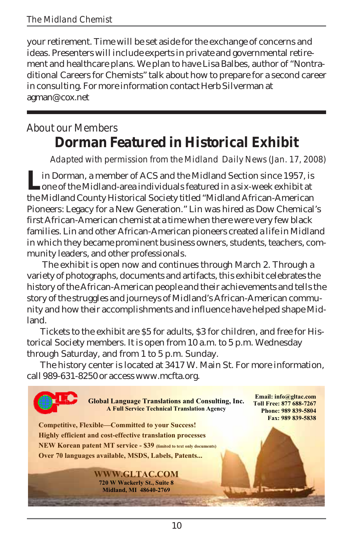your retirement. Time will be set aside for the exchange of concerns and ideas. Presenters will include experts in private and governmental retirement and healthcare plans. We plan to have Lisa Balbes, author of "Nontraditional Careers for Chemists" talk about how to prepare for a second career in consulting. For more information contact Herb Silverman at agman@cox.net

### *About our Members* **Dorman Featured in Historical Exhibit**

*Adapted with permission from the Midland Daily News (Jan. 17, 2008)*

Lin Dorman, a member of ACS and the Midland Section since 1957, is<br>one of the Midland-area individuals featured in a six-week exhibit at the Midland County Historical Society titled "Midland African-American Pioneers: Legacy for a New Generation." Lin was hired as Dow Chemical's first African-American chemist at a time when there were very few black families. Lin and other African-American pioneers created a life in Midland in which they became prominent business owners, students, teachers, community leaders, and other professionals.

 The exhibit is open now and continues through March 2. Through a variety of photographs, documents and artifacts, this exhibit celebrates the history of the African-American people and their achievements and tells the story of the struggles and journeys of Midland's African-American community and how their accomplishments and influence have helped shape Midland.

Tickets to the exhibit are \$5 for adults, \$3 for children, and free for Historical Society members. It is open from 10 a.m. to 5 p.m. Wednesday through Saturday, and from 1 to 5 p.m. Sunday.

The history center is located at 3417 W. Main St. For more information, call 989-631-8250 or access www.mcfta.org.

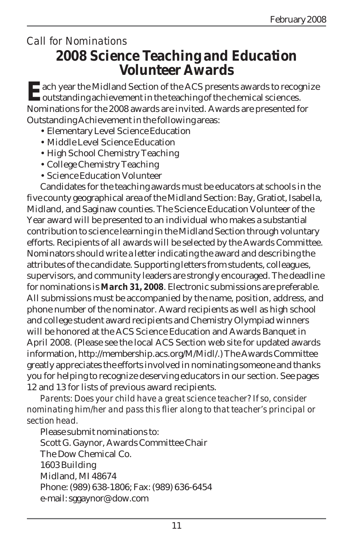### *Call for Nominations* **2008 Science Teaching and Education Volunteer Awards**

**Ea**ch year the Midland Section of the ACS presents awards to recognize<br>coutstanding achievement in the teaching of the chemical sciences. Nominations for the 2008 awards are invited. Awards are presented for Outstanding Achievement in the following areas:

- Elementary Level Science Education
- Middle Level Science Education
- High School Chemistry Teaching
- College Chemistry Teaching
- Science Education Volunteer

Candidates for the teaching awards must be educators at schools in the five county geographical area of the Midland Section: Bay, Gratiot, Isabella, Midland, and Saginaw counties. The Science Education Volunteer of the Year award will be presented to an individual who makes a substantial contribution to science learning in the Midland Section through voluntary efforts. Recipients of all awards will be selected by the Awards Committee. Nominators should write a letter indicating the award and describing the attributes of the candidate. Supporting letters from students, colleagues, supervisors, and community leaders are strongly encouraged. The deadline for nominations is **March 31, 2008**. Electronic submissions are preferable. All submissions must be accompanied by the name, position, address, and phone number of the nominator. Award recipients as well as high school and college student award recipients and Chemistry Olympiad winners will be honored at the ACS Science Education and Awards Banquet in April 2008. (Please see the local ACS Section web site for updated awards information, http://membership.acs.org/M/Midl/.) The Awards Committee greatly appreciates the efforts involved in nominating someone and thanks you for helping to recognize deserving educators in our section. See pages 12 and 13 for lists of previous award recipients.

*Parents: Does your child have a great science teacher? If so, consider nominating him/her and pass this flier along to that teacher's principal or section head.*

Please submit nominations to: Scott G. Gaynor, Awards Committee Chair The Dow Chemical Co. 1603 Building Midland, MI 48674 Phone: (989) 638-1806; Fax: (989) 636-6454 e-mail: sggaynor@dow.com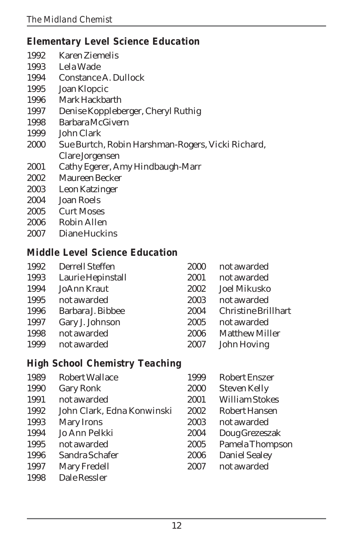### *Elementary Level Science Education*

- 1992 Karen Ziemelis
- 1993 Lela Wade
- Constance A. Dullock
- Joan Klopcic
- Mark Hackbarth
- Denise Koppleberger, Cheryl Ruthig
- Barbara McGivern
- John Clark
- Sue Burtch, Robin Harshman-Rogers, Vicki Richard, Clare Jorgensen
- 2001 Cathy Egerer, Amy Hindbaugh-Marr
- Maureen Becker
- Leon Katzinger
- Joan Roels
- 2005 Curt Moses
- Robin Allen
- Diane Huckins

#### *Middle Level Science Education*

| 1992 | Derrell Steffen   | 2000 | not awarded           |
|------|-------------------|------|-----------------------|
| 1993 | Laurie Hepinstall | 2001 | not awarded           |
| 1994 | JoAnn Kraut       | 2002 | Joel Mikusko          |
| 1995 | not awarded       | 2003 | not awarded           |
| 1996 | Barbara J. Bibbee | 2004 | Christine Brillhart   |
| 1997 | Gary J. Johnson   | 2005 | not awarded           |
| 1998 | not awarded       | 2006 | <b>Matthew Miller</b> |
| 1999 | not awarded       | 2007 | John Hoving           |
|      |                   |      |                       |

#### *High School Chemistry Teaching*

| 1989 | <b>Robert Wallace</b>      | 1999 | <b>Robert Enszer</b>  |
|------|----------------------------|------|-----------------------|
| 1990 | Gary Ronk                  | 2000 | Steven Kelly          |
| 1991 | not awarded                | 2001 | <b>William Stokes</b> |
| 1992 | John Clark, Edna Konwinski | 2002 | Robert Hansen         |
| 1993 | Mary Irons                 | 2003 | not awarded           |
| 1994 | Jo Ann Pelkki              | 2004 | Doug Grezeszak        |
| 1995 | not awarded                | 2005 | Pamela Thompson       |
| 1996 | Sandra Schafer             | 2006 | Daniel Sealey         |
| 1997 | Mary Fredell               | 2007 | not awarded           |
| 1998 | Dale Ressler               |      |                       |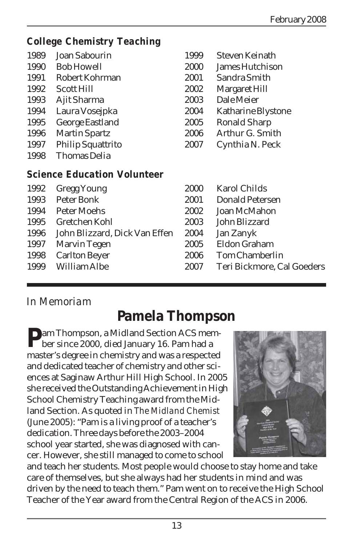#### *College Chemistry Teaching*

| 1989 | Joan Sabourin                      | 1999 | Steven Keinath       |
|------|------------------------------------|------|----------------------|
| 1990 | <b>Bob Howell</b>                  | 2000 | James Hutchison      |
| 1991 | Robert Kohrman                     | 2001 | Sandra Smith         |
| 1992 | Scott Hill                         | 2002 | <b>Margaret Hill</b> |
| 1993 | Ajit Sharma                        | 2003 | Dale Meier           |
| 1994 | Laura Vosejpka                     | 2004 | Katharine Blystone   |
| 1995 | George Eastland                    | 2005 | <b>Ronald Sharp</b>  |
| 1996 | <b>Martin Spartz</b>               | 2006 | Arthur G. Smith      |
| 1997 | <b>Philip Squattrito</b>           | 2007 | Cynthia N. Peck      |
| 1998 | Thomas Delia                       |      |                      |
|      | <b>Science Education Volunteer</b> |      |                      |
| 1992 | <b>Gregg Young</b>                 | 2000 | <b>Karol Childs</b>  |
| 1993 | Peter Bonk                         | 2001 | Donald Petersen      |
| 1994 | Peter Moehs                        | 2002 | Joan McMahon         |
| 1005 | Crotchon Kobl                      | ാഗാ  | John Plizzord        |

 Gretchen Kohl 2003 John Blizzard John Blizzard, Dick Van Effen 2004 Jan Zanyk Marvin Tegen 2005 Eldon Graham Carlton Beyer 2006 Tom Chamberlin William Albe 2007 Teri Bickmore, Cal Goeders

### *In Memoriam*

# **Pamela Thompson**

**Pam Thompson, a Midland Section ACS mem-L** ber since 2000, died January 16. Pam had a master's degree in chemistry and was a respected and dedicated teacher of chemistry and other sciences at Saginaw Arthur Hill High School. In 2005 she received the Outstanding Achievement in High School Chemistry Teaching award from the Midland Section. As quoted in *The Midland Chemist* (June 2005): "Pam is a living proof of a teacher's dedication. Three days before the 2003–2004 school year started, she was diagnosed with cancer. However, she still managed to come to school



and teach her students. Most people would choose to stay home and take care of themselves, but she always had her students in mind and was driven by the need to teach them." Pam went on to receive the High School Teacher of the Year award from the Central Region of the ACS in 2006.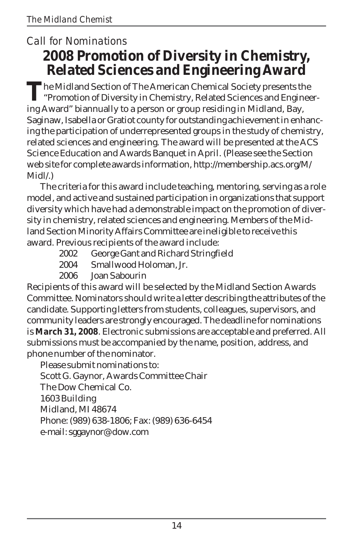### *Call for Nominations* **2008 Promotion of Diversity in Chemistry, Related Sciences and Engineering Award**

The Midland Section of The American Chemical Society presents the<br>"Promotion of Diversity in Chemistry, Related Sciences and Engineering Award" biannually to a person or group residing in Midland, Bay, Saginaw, Isabella or Gratiot county for outstanding achievement in enhancing the participation of underrepresented groups in the study of chemistry, related sciences and engineering. The award will be presented at the ACS Science Education and Awards Banquet in April. (Please see the Section web site for complete awards information, http://membership.acs.org/M/ Midl/.)

The criteria for this award include teaching, mentoring, serving as a role model, and active and sustained participation in organizations that support diversity which have had a demonstrable impact on the promotion of diversity in chemistry, related sciences and engineering. Members of the Midland Section Minority Affairs Committee are ineligible to receive this award. Previous recipients of the award include:

- 2002 George Gant and Richard Stringfield
- 2004 Smallwood Holoman, Jr.

2006 Joan Sabourin

Recipients of this award will be selected by the Midland Section Awards Committee. Nominators should write a letter describing the attributes of the candidate. Supporting letters from students, colleagues, supervisors, and community leaders are strongly encouraged. The deadline for nominations is **March 31, 2008**. Electronic submissions are acceptable and preferred. All submissions must be accompanied by the name, position, address, and phone number of the nominator.

Please submit nominations to: Scott G. Gaynor, Awards Committee Chair The Dow Chemical Co. 1603 Building Midland, MI 48674 Phone: (989) 638-1806; Fax: (989) 636-6454 e-mail: sggaynor@dow.com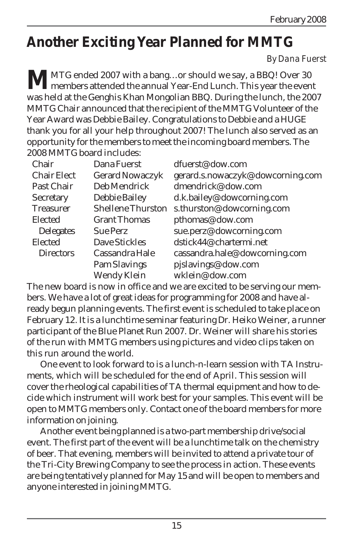# **Another Exciting Year Planned for MMTG**

#### *By Dana Fuerst*

**MATG** ended 2007 with a bang...or should we say, a BBQ! Over 30<br>members attended the annual Year-End Lunch. This year the event was held at the Genghis Khan Mongolian BBQ. During the lunch, the 2007 MMTG Chair announced that the recipient of the MMTG Volunteer of the Year Award was Debbie Bailey. Congratulations to Debbie and a HUGE thank you for all your help throughout 2007! The lunch also served as an opportunity for the members to meet the incoming board members. The 2008 MMTG board includes:

| Chair              | Dana Fuerst              | dfuerst@dow.com                  |
|--------------------|--------------------------|----------------------------------|
| <b>Chair Elect</b> | Gerard Nowaczyk          | gerard.s.nowaczyk@dowcorning.com |
| Past Chair         | Deb Mendrick             | dmendrick@dow.com                |
| Secretary          | Debbie Bailey            | d.k.bailey@dowcorning.com        |
| <b>Treasurer</b>   | <b>Shellene Thurston</b> | s.thurston@dowcorning.com        |
| Elected            | <b>Grant Thomas</b>      | pthomas@dow.com                  |
| <b>Delegates</b>   | <b>Sue Perz</b>          | sue.perz@dowcorning.com          |
| Elected            | Dave Stickles            | dstick44@chartermi.net           |
| <b>Directors</b>   | Cassandra Hale           | cassandra.hale@dowcorning.com    |
|                    | Pam Slavings             | pjslavings@dow.com               |
|                    | Wendy Klein              | wklein@dow.com                   |

The new board is now in office and we are excited to be serving our members. We have a lot of great ideas for programming for 2008 and have already begun planning events. The first event is scheduled to take place on February 12. It is a lunchtime seminar featuring Dr. Heiko Weiner, a runner participant of the Blue Planet Run 2007. Dr. Weiner will share his stories of the run with MMTG members using pictures and video clips taken on this run around the world.

One event to look forward to is a lunch-n-learn session with TA Instruments, which will be scheduled for the end of April. This session will cover the rheological capabilities of TA thermal equipment and how to decide which instrument will work best for your samples. This event will be open to MMTG members only. Contact one of the board members for more information on joining.

Another event being planned is a two-part membership drive/social event. The first part of the event will be a lunchtime talk on the chemistry of beer. That evening, members will be invited to attend a private tour of the Tri-City Brewing Company to see the process in action. These events are being tentatively planned for May 15and will be open to members and anyone interested in joining MMTG.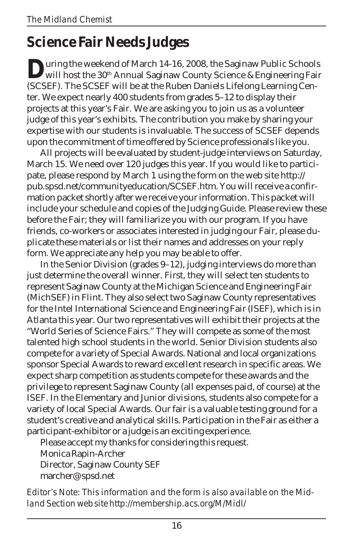# **Science Fair Needs Judges**

**D**uring the weekend of March 14-16, 2008, the Saginaw Public Schools<br>will host the 30<sup>th</sup> Annual Saginaw County Science & Engineering Fair (SCSEF). The SCSEF will be at the Ruben Daniels Lifelong Learning Center. We expect nearly 400 students from grades 5–12 to display their projects at this year's Fair. We are asking you to join us as a volunteer judge of this year's exhibits. The contribution you make by sharing your expertise with our students is invaluable. The success of SCSEF depends upon the commitment of time offered by Science professionals like you.

All projects will be evaluated by student-judge interviews on Saturday, March 15. We need over 120 judges this year. If you would like to participate, please respond by March 1 using the form on the web site http:// pub.spsd.net/communityeducation/SCSEF.htm. You will receive a confirmation packet shortly after we receive your information. This packet will include your schedule and copies of the Judging Guide. Please review these before the Fair; they will familiarize you with our program. If you have friends, co-workers or associates interested in judging our Fair, please duplicate these materials or list their names and addresses on your reply form. We appreciate any help you may be able to offer.

In the Senior Division (grades 9–12), judging interviews do more than just determine the overall winner. First, they will select ten students to represent Saginaw County at the Michigan Science and Engineering Fair (MichSEF) in Flint. They also select two Saginaw County representatives for the Intel International Science and Engineering Fair (ISEF), which is in Atlanta this year. Our two representatives will exhibit their projects at the "World Series of Science Fairs." They will compete as some of the most talented high school students in the world. Senior Division students also compete for a variety of Special Awards. National and local organizations sponsor Special Awards to reward excellent research in specific areas. We expect sharp competition as students compete for these awards and the privilege to represent Saginaw County (all expenses paid, of course) at the ISEF. In the Elementary and Junior divisions, students also compete for a variety of local Special Awards. Our fair is a valuable testing ground for a student's creative and analytical skills. Participation in the Fair as either a participant-exhibitor or a judge is an exciting experience.

Please accept my thanks for considering this request. Monica Rapin-Archer Director, Saginaw County SEF marcher@spsd.net

*Editor's Note: This information and the form is also available on the Midland Section web site http://membership.acs.org/M/Midl/*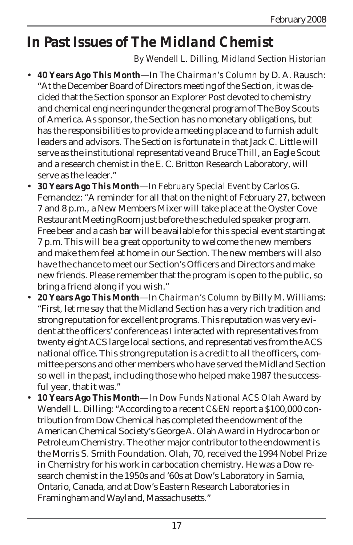# **In Past Issues of** *The Midland Chemist*

#### *By Wendell L. Dilling, Midland Section Historian*

- **40 Years Ago This Month**—In *The Chairman's Column* by D. A. Rausch: "At the December Board of Directors meeting of the Section, it was decided that the Section sponsor an Explorer Post devoted to chemistry and chemical engineering under the general program of The Boy Scouts of America. As sponsor, the Section has no monetary obligations, but has the responsibilities to provide a meeting place and to furnish adult leaders and advisors. The Section is fortunate in that Jack C. Little will serve as the institutional representative and Bruce Thill, an Eagle Scout and a research chemist in the E. C. Britton Research Laboratory, will serve as the leader."
- **30 Years Ago This Month**—In *February Special Event* by Carlos G. Fernandez: "A reminder for all that on the night of February 27, between 7 and 8 p.m., a New Members Mixer will take place at the Oyster Cove Restaurant Meeting Room just before the scheduled speaker program. Free beer and a cash bar will be available for this special event starting at 7 p.m. This will be a great opportunity to welcome the new members and make them feel at home in our Section. The new members will also have the chance to meet our Section's Officers and Directors and make new friends. Please remember that the program is open to the public, so bring a friend along if you wish."
- **20 Years Ago This Month**—In *Chairman's Column* by Billy M. Williams: "First, let me say that the Midland Section has a very rich tradition and strong reputation for excellent programs. This reputation was very evident at the officers' conference as I interacted with representatives from twenty eight ACS large local sections, and representatives from the ACS national office. This strong reputation is a credit to all the officers, committee persons and other members who have served the Midland Section so well in the past, including those who helped make 1987 the successful year, that it was."
- **10 Years Ago This Month**—In *Dow Funds National ACS Olah Award* by Wendell L. Dilling: "According to a recent *C&EN* report a \$100,000 contribution from Dow Chemical has completed the endowment of the American Chemical Society's George A. Olah Award in Hydrocarbon or Petroleum Chemistry. The other major contributor to the endowment is the Morris S. Smith Foundation. Olah, 70, received the 1994 Nobel Prize in Chemistry for his work in carbocation chemistry. He was a Dow research chemist in the 1950s and '60s at Dow's Laboratory in Sarnia, Ontario, Canada, and at Dow's Eastern Research Laboratories in Framingham and Wayland, Massachusetts."